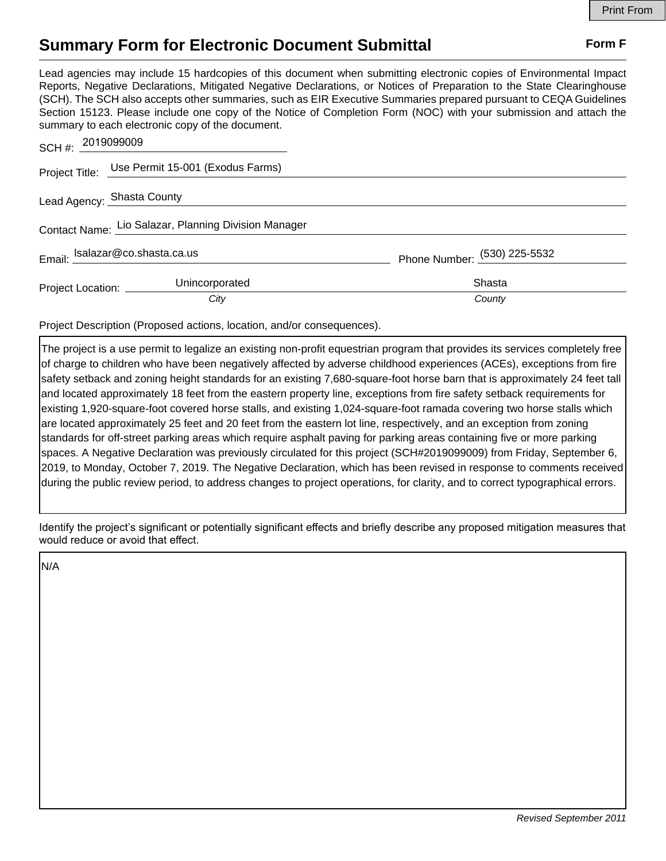## **Summary Form for Electronic Document Submittal Form F Form F**

Lead agencies may include 15 hardcopies of this document when submitting electronic copies of Environmental Impact Reports, Negative Declarations, Mitigated Negative Declarations, or Notices of Preparation to the State Clearinghouse (SCH). The SCH also accepts other summaries, such as EIR Executive Summaries prepared pursuant to CEQA Guidelines Section 15123. Please include one copy of the Notice of Completion Form (NOC) with your submission and attach the summary to each electronic copy of the document.

| SCH #: 2019099009                                    |                                                 |                              |
|------------------------------------------------------|-------------------------------------------------|------------------------------|
|                                                      | Project Title: Use Permit 15-001 (Exodus Farms) |                              |
|                                                      | Lead Agency: Shasta County                      |                              |
| Contact Name: Lio Salazar, Planning Division Manager |                                                 |                              |
| Email: $\frac{Isalazar@co.shasta.ca.us}{-}$          |                                                 | Phone Number: (530) 225-5532 |
| Project Location: _______                            | Unincorporated                                  | Shasta                       |
|                                                      | City                                            | County                       |

Project Description (Proposed actions, location, and/or consequences).

The project is a use permit to legalize an existing non-profit equestrian program that provides its services completely free of charge to children who have been negatively affected by adverse childhood experiences (ACEs), exceptions from fire safety setback and zoning height standards for an existing 7,680-square-foot horse barn that is approximately 24 feet tall and located approximately 18 feet from the eastern property line, exceptions from fire safety setback requirements for existing 1,920-square-foot covered horse stalls, and existing 1,024-square-foot ramada covering two horse stalls which are located approximately 25 feet and 20 feet from the eastern lot line, respectively, and an exception from zoning standards for off-street parking areas which require asphalt paving for parking areas containing five or more parking spaces. A Negative Declaration was previously circulated for this project (SCH#2019099009) from Friday, September 6, 2019, to Monday, October 7, 2019. The Negative Declaration, which has been revised in response to comments received during the public review period, to address changes to project operations, for clarity, and to correct typographical errors.

Identify the project's significant or potentially significant effects and briefly describe any proposed mitigation measures that would reduce or avoid that effect.

N/A